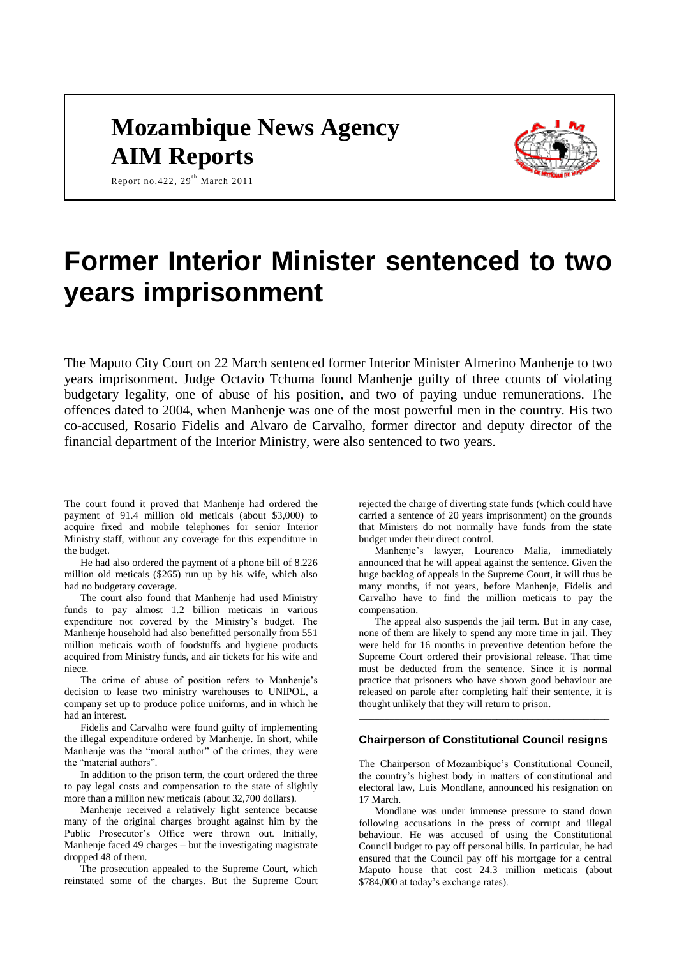# **Mozambique News Agency AIM Reports**



Report no.422,  $29^{th}$  March 2011

# **Former Interior Minister sentenced to two years imprisonment**

The Maputo City Court on 22 March sentenced former Interior Minister Almerino Manhenje to two years imprisonment. Judge Octavio Tchuma found Manhenje guilty of three counts of violating budgetary legality, one of abuse of his position, and two of paying undue remunerations. The offences dated to 2004, when Manhenje was one of the most powerful men in the country. His two co-accused, Rosario Fidelis and Alvaro de Carvalho, former director and deputy director of the financial department of the Interior Ministry, were also sentenced to two years.

The court found it proved that Manhenje had ordered the payment of 91.4 million old meticais (about \$3,000) to acquire fixed and mobile telephones for senior Interior Ministry staff, without any coverage for this expenditure in the budget.

He had also ordered the payment of a phone bill of 8.226 million old meticais (\$265) run up by his wife, which also had no budgetary coverage.

The court also found that Manhenje had used Ministry funds to pay almost 1.2 billion meticais in various expenditure not covered by the Ministry's budget. The Manhenje household had also benefitted personally from 551 million meticais worth of foodstuffs and hygiene products acquired from Ministry funds, and air tickets for his wife and niece.

The crime of abuse of position refers to Manhenje's decision to lease two ministry warehouses to UNIPOL, a company set up to produce police uniforms, and in which he had an interest.

Fidelis and Carvalho were found guilty of implementing the illegal expenditure ordered by Manhenje. In short, while Manhenie was the "moral author" of the crimes, they were the "material authors".

In addition to the prison term, the court ordered the three to pay legal costs and compensation to the state of slightly more than a million new meticais (about 32,700 dollars).

Manhenje received a relatively light sentence because many of the original charges brought against him by the Public Prosecutor's Office were thrown out. Initially, Manhenje faced 49 charges – but the investigating magistrate dropped 48 of them.

The prosecution appealed to the Supreme Court, which reinstated some of the charges. But the Supreme Court

rejected the charge of diverting state funds (which could have carried a sentence of 20 years imprisonment) on the grounds that Ministers do not normally have funds from the state budget under their direct control.

Manhenje's lawyer, Lourenco Malia, immediately announced that he will appeal against the sentence. Given the huge backlog of appeals in the Supreme Court, it will thus be many months, if not years, before Manhenje, Fidelis and Carvalho have to find the million meticais to pay the compensation.

The appeal also suspends the jail term. But in any case, none of them are likely to spend any more time in jail. They were held for 16 months in preventive detention before the Supreme Court ordered their provisional release. That time must be deducted from the sentence. Since it is normal practice that prisoners who have shown good behaviour are released on parole after completing half their sentence, it is thought unlikely that they will return to prison.

#### **Chairperson of Constitutional Council resigns**

\_\_\_\_\_\_\_\_\_\_\_\_\_\_\_\_\_\_\_\_\_\_\_\_\_\_\_\_\_\_\_\_\_\_\_\_\_\_\_\_\_\_\_\_\_\_\_\_\_

The Chairperson of Mozambique's Constitutional Council, the country's highest body in matters of constitutional and electoral law, Luis Mondlane, announced his resignation on 17 March.

Mondlane was under immense pressure to stand down following accusations in the press of corrupt and illegal behaviour. He was accused of using the Constitutional Council budget to pay off personal bills. In particular, he had ensured that the Council pay off his mortgage for a central Maputo house that cost 24.3 million meticais (about \$784,000 at today's exchange rates).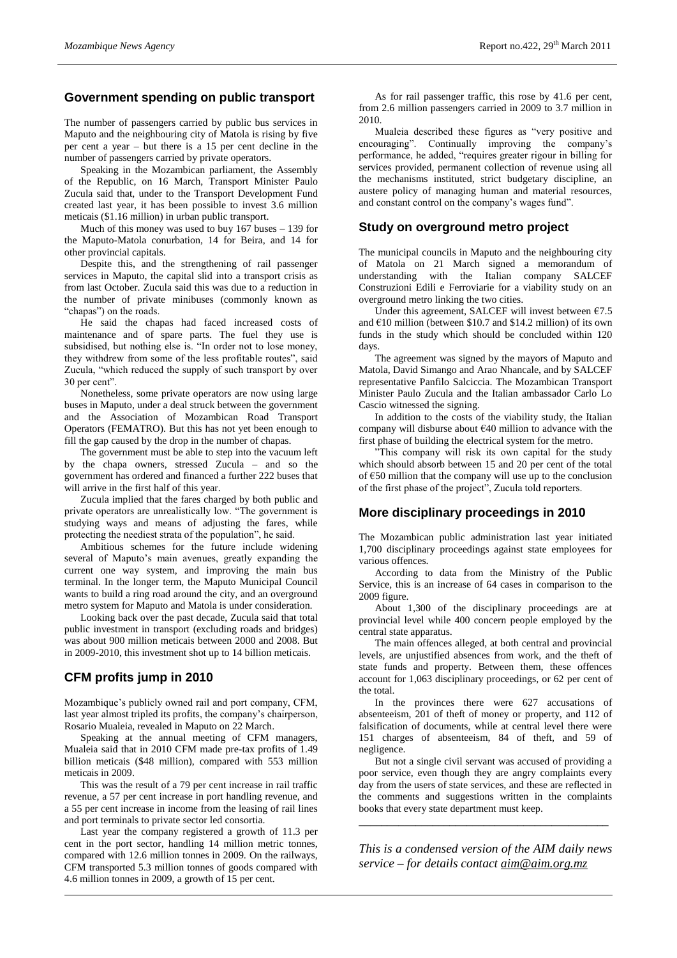## **Government spending on public transport**

The number of passengers carried by public bus services in Maputo and the neighbouring city of Matola is rising by five per cent a year – but there is a 15 per cent decline in the number of passengers carried by private operators.

Speaking in the Mozambican parliament, the Assembly of the Republic, on 16 March, Transport Minister Paulo Zucula said that, under to the Transport Development Fund created last year, it has been possible to invest 3.6 million meticais (\$1.16 million) in urban public transport.

Much of this money was used to buy 167 buses – 139 for the Maputo-Matola conurbation, 14 for Beira, and 14 for other provincial capitals.

Despite this, and the strengthening of rail passenger services in Maputo, the capital slid into a transport crisis as from last October. Zucula said this was due to a reduction in the number of private minibuses (commonly known as "chapas") on the roads.

He said the chapas had faced increased costs of maintenance and of spare parts. The fuel they use is subsidised, but nothing else is. "In order not to lose money, they withdrew from some of the less profitable routes", said Zucula, "which reduced the supply of such transport by over 30 per cent".

Nonetheless, some private operators are now using large buses in Maputo, under a deal struck between the government and the Association of Mozambican Road Transport Operators (FEMATRO). But this has not yet been enough to fill the gap caused by the drop in the number of chapas.

The government must be able to step into the vacuum left by the chapa owners, stressed Zucula – and so the government has ordered and financed a further 222 buses that will arrive in the first half of this year.

Zucula implied that the fares charged by both public and private operators are unrealistically low. "The government is studying ways and means of adjusting the fares, while protecting the neediest strata of the population", he said.

Ambitious schemes for the future include widening several of Maputo's main avenues, greatly expanding the current one way system, and improving the main bus terminal. In the longer term, the Maputo Municipal Council wants to build a ring road around the city, and an overground metro system for Maputo and Matola is under consideration.

Looking back over the past decade, Zucula said that total public investment in transport (excluding roads and bridges) was about 900 million meticais between 2000 and 2008. But in 2009-2010, this investment shot up to 14 billion meticais.

# **CFM profits jump in 2010**

Mozambique's publicly owned rail and port company, CFM, last year almost tripled its profits, the company's chairperson, Rosario Mualeia, revealed in Maputo on 22 March.

Speaking at the annual meeting of CFM managers, Mualeia said that in 2010 CFM made pre-tax profits of 1.49 billion meticais (\$48 million), compared with 553 million meticais in 2009.

This was the result of a 79 per cent increase in rail traffic revenue, a 57 per cent increase in port handling revenue, and a 55 per cent increase in income from the leasing of rail lines and port terminals to private sector led consortia.

Last year the company registered a growth of 11.3 per cent in the port sector, handling 14 million metric tonnes, compared with 12.6 million tonnes in 2009. On the railways, CFM transported 5.3 million tonnes of goods compared with 4.6 million tonnes in 2009, a growth of 15 per cent.

As for rail passenger traffic, this rose by 41.6 per cent, from 2.6 million passengers carried in 2009 to 3.7 million in 2010.

Mualeia described these figures as "very positive and encouraging". Continually improving the company's performance, he added, "requires greater rigour in billing for services provided, permanent collection of revenue using all the mechanisms instituted, strict budgetary discipline, an austere policy of managing human and material resources, and constant control on the company's wages fund".

### **Study on overground metro project**

The municipal councils in Maputo and the neighbouring city of Matola on 21 March signed a memorandum of understanding with the Italian company SALCEF Construzioni Edili e Ferroviarie for a viability study on an overground metro linking the two cities.

Under this agreement, SALCEF will invest between  $\epsilon$ 7.5 and  $\epsilon$ 10 million (between \$10.7 and \$14.2 million) of its own funds in the study which should be concluded within 120 days.

The agreement was signed by the mayors of Maputo and Matola, David Simango and Arao Nhancale, and by SALCEF representative Panfilo Salciccia. The Mozambican Transport Minister Paulo Zucula and the Italian ambassador Carlo Lo Cascio witnessed the signing.

In addition to the costs of the viability study, the Italian company will disburse about €40 million to advance with the first phase of building the electrical system for the metro.

"This company will risk its own capital for the study which should absorb between 15 and 20 per cent of the total of €50 million that the company will use up to the conclusion of the first phase of the project", Zucula told reporters.

# **More disciplinary proceedings in 2010**

The Mozambican public administration last year initiated 1,700 disciplinary proceedings against state employees for various offences.

According to data from the Ministry of the Public Service, this is an increase of 64 cases in comparison to the 2009 figure.

About 1,300 of the disciplinary proceedings are at provincial level while 400 concern people employed by the central state apparatus.

The main offences alleged, at both central and provincial levels, are unjustified absences from work, and the theft of state funds and property. Between them, these offences account for 1,063 disciplinary proceedings, or 62 per cent of the total.

In the provinces there were 627 accusations of absenteeism, 201 of theft of money or property, and 112 of falsification of documents, while at central level there were 151 charges of absenteeism, 84 of theft, and 59 of negligence.

But not a single civil servant was accused of providing a poor service, even though they are angry complaints every day from the users of state services, and these are reflected in the comments and suggestions written in the complaints books that every state department must keep.

*This is a condensed version of the AIM daily news service – for details contact [aim@aim.org.mz](mailto:aim@aim.org.mz)*

*\_\_\_\_\_\_\_\_\_\_\_\_\_\_\_\_\_\_\_\_\_\_\_\_\_\_\_\_\_\_\_\_\_\_\_\_\_\_\_\_\_\_\_\_*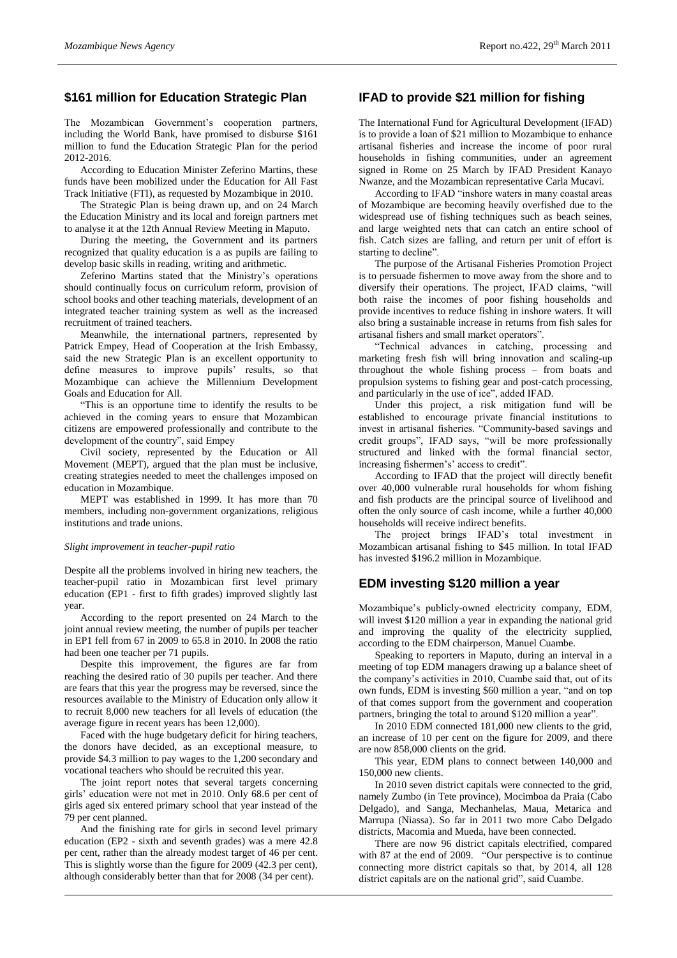#### **\$161 million for Education Strategic Plan**

The Mozambican Government's cooperation partners, including the World Bank, have promised to disburse \$161 million to fund the Education Strategic Plan for the period 2012-2016.

According to Education Minister Zeferino Martins, these funds have been mobilized under the Education for All Fast Track Initiative (FTI), as requested by Mozambique in 2010.

The Strategic Plan is being drawn up, and on 24 March the Education Ministry and its local and foreign partners met to analyse it at the 12th Annual Review Meeting in Maputo.

During the meeting, the Government and its partners recognized that quality education is a as pupils are failing to develop basic skills in reading, writing and arithmetic.

Zeferino Martins stated that the Ministry's operations should continually focus on curriculum reform, provision of school books and other teaching materials, development of an integrated teacher training system as well as the increased recruitment of trained teachers.

Meanwhile, the international partners, represented by Patrick Empey, Head of Cooperation at the Irish Embassy, said the new Strategic Plan is an excellent opportunity to define measures to improve pupils' results, so that Mozambique can achieve the Millennium Development Goals and Education for All.

"This is an opportune time to identify the results to be achieved in the coming years to ensure that Mozambican citizens are empowered professionally and contribute to the development of the country", said Empey

Civil society, represented by the Education or All Movement (MEPT), argued that the plan must be inclusive, creating strategies needed to meet the challenges imposed on education in Mozambique.

MEPT was established in 1999. It has more than 70 members, including non-government organizations, religious institutions and trade unions.

#### *Slight improvement in teacher-pupil ratio*

Despite all the problems involved in hiring new teachers, the teacher-pupil ratio in Mozambican first level primary education (EP1 - first to fifth grades) improved slightly last year.

According to the report presented on 24 March to the joint annual review meeting, the number of pupils per teacher in EP1 fell from 67 in 2009 to 65.8 in 2010. In 2008 the ratio had been one teacher per 71 pupils.

Despite this improvement, the figures are far from reaching the desired ratio of 30 pupils per teacher. And there are fears that this year the progress may be reversed, since the resources available to the Ministry of Education only allow it to recruit 8,000 new teachers for all levels of education (the average figure in recent years has been 12,000).

Faced with the huge budgetary deficit for hiring teachers, the donors have decided, as an exceptional measure, to provide \$4.3 million to pay wages to the 1,200 secondary and vocational teachers who should be recruited this year.

The joint report notes that several targets concerning girls' education were not met in 2010. Only 68.6 per cent of girls aged six entered primary school that year instead of the 79 per cent planned.

And the finishing rate for girls in second level primary education (EP2 - sixth and seventh grades) was a mere 42.8 per cent, rather than the already modest target of 46 per cent. This is slightly worse than the figure for 2009 (42.3 per cent), although considerably better than that for 2008 (34 per cent).

#### **IFAD to provide \$21 million for fishing**

The International Fund for Agricultural Development (IFAD) is to provide a loan of \$21 million to Mozambique to enhance artisanal fisheries and increase the income of poor rural households in fishing communities, under an agreement signed in Rome on 25 March by IFAD President Kanayo Nwanze, and the Mozambican representative Carla Mucavi.

According to IFAD "inshore waters in many coastal areas of Mozambique are becoming heavily overfished due to the widespread use of fishing techniques such as beach seines, and large weighted nets that can catch an entire school of fish. Catch sizes are falling, and return per unit of effort is starting to decline".

The purpose of the Artisanal Fisheries Promotion Project is to persuade fishermen to move away from the shore and to diversify their operations. The project, IFAD claims, "will both raise the incomes of poor fishing households and provide incentives to reduce fishing in inshore waters. It will also bring a sustainable increase in returns from fish sales for artisanal fishers and small market operators".

"Technical advances in catching, processing and marketing fresh fish will bring innovation and scaling-up throughout the whole fishing process – from boats and propulsion systems to fishing gear and post-catch processing, and particularly in the use of ice", added IFAD.

Under this project, a risk mitigation fund will be established to encourage private financial institutions to invest in artisanal fisheries. "Community-based savings and credit groups", IFAD says, "will be more professionally structured and linked with the formal financial sector, increasing fishermen's' access to credit".

According to IFAD that the project will directly benefit over 40,000 vulnerable rural households for whom fishing and fish products are the principal source of livelihood and often the only source of cash income, while a further 40,000 households will receive indirect benefits.

The project brings IFAD's total investment in Mozambican artisanal fishing to \$45 million. In total IFAD has invested \$196.2 million in Mozambique.

#### **EDM investing \$120 million a year**

Mozambique's publicly-owned electricity company, EDM, will invest \$120 million a year in expanding the national grid and improving the quality of the electricity supplied, according to the EDM chairperson, Manuel Cuambe.

Speaking to reporters in Maputo, during an interval in a meeting of top EDM managers drawing up a balance sheet of the company's activities in 2010, Cuambe said that, out of its own funds, EDM is investing \$60 million a year, "and on top of that comes support from the government and cooperation partners, bringing the total to around \$120 million a year".

In 2010 EDM connected 181,000 new clients to the grid, an increase of 10 per cent on the figure for 2009, and there are now 858,000 clients on the grid.

This year, EDM plans to connect between 140,000 and 150,000 new clients.

In 2010 seven district capitals were connected to the grid, namely Zumbo (in Tete province), Mocimboa da Praia (Cabo Delgado), and Sanga, Mechanhelas, Maua, Metarica and Marrupa (Niassa). So far in 2011 two more Cabo Delgado districts, Macomia and Mueda, have been connected.

There are now 96 district capitals electrified, compared with 87 at the end of 2009. "Our perspective is to continue connecting more district capitals so that, by 2014, all 128 district capitals are on the national grid", said Cuambe.